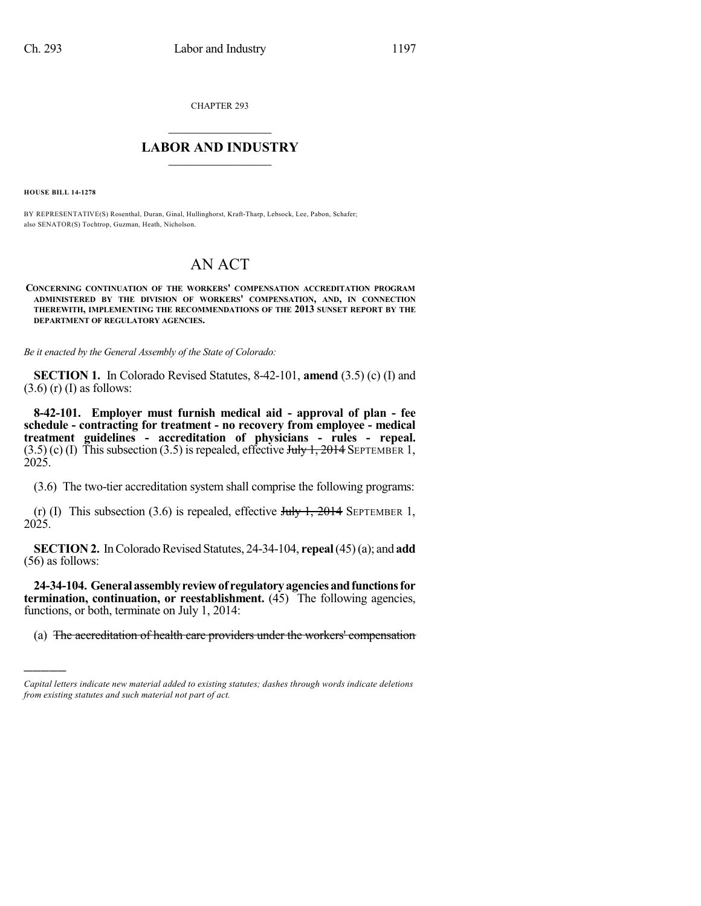CHAPTER 293

## $\overline{\phantom{a}}$  . The set of the set of the set of the set of the set of the set of the set of the set of the set of the set of the set of the set of the set of the set of the set of the set of the set of the set of the set o **LABOR AND INDUSTRY**  $\frac{1}{\sqrt{2}}$  ,  $\frac{1}{\sqrt{2}}$  ,  $\frac{1}{\sqrt{2}}$  ,  $\frac{1}{\sqrt{2}}$  ,  $\frac{1}{\sqrt{2}}$  ,  $\frac{1}{\sqrt{2}}$

**HOUSE BILL 14-1278**

)))))

BY REPRESENTATIVE(S) Rosenthal, Duran, Ginal, Hullinghorst, Kraft-Tharp, Lebsock, Lee, Pabon, Schafer; also SENATOR(S) Tochtrop, Guzman, Heath, Nicholson.

## AN ACT

**CONCERNING CONTINUATION OF THE WORKERS' COMPENSATION ACCREDITATION PROGRAM ADMINISTERED BY THE DIVISION OF WORKERS' COMPENSATION, AND, IN CONNECTION THEREWITH, IMPLEMENTING THE RECOMMENDATIONS OF THE 2013 SUNSET REPORT BY THE DEPARTMENT OF REGULATORY AGENCIES.**

*Be it enacted by the General Assembly of the State of Colorado:*

**SECTION 1.** In Colorado Revised Statutes, 8-42-101, **amend** (3.5) (c) (I) and  $(3.6)$  (r) (I) as follows:

**8-42-101. Employer must furnish medical aid - approval of plan - fee schedule - contracting for treatment - no recovery from employee - medical treatment guidelines - accreditation of physicians - rules - repeal.**  $(3.5)$  (c) (I) This subsection (3.5) is repealed, effective July 1, 2014 SEPTEMBER 1, 2025.

(3.6) The two-tier accreditation system shall comprise the following programs:

(r) (I) This subsection (3.6) is repealed, effective  $J_{\text{t}}/J_{\text{t}}$ , 2014 SEPTEMBER 1, 2025.

**SECTION 2.** In Colorado Revised Statutes, 24-34-104, **repeal** (45) (a); and **add** (56) as follows:

**24-34-104. Generalassemblyreviewof regulatoryagenciesandfunctionsfor termination, continuation, or reestablishment.** (45) The following agencies, functions, or both, terminate on July 1, 2014:

(a) The accreditation of health care providers under the workers' compensation

*Capital letters indicate new material added to existing statutes; dashes through words indicate deletions from existing statutes and such material not part of act.*